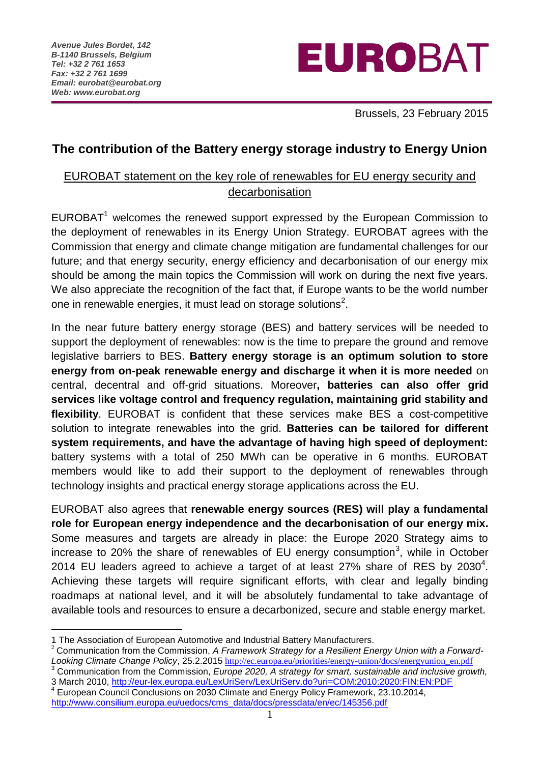

Brussels, 23 February 2015

## **The contribution of the Battery energy storage industry to Energy Union**

## EUROBAT statement on the key role of renewables for EU energy security and decarbonisation

EUROBAT<sup>1</sup> welcomes the renewed support expressed by the European Commission to the deployment of renewables in its Energy Union Strategy. EUROBAT agrees with the Commission that energy and climate change mitigation are fundamental challenges for our future; and that energy security, energy efficiency and decarbonisation of our energy mix should be among the main topics the Commission will work on during the next five years. We also appreciate the recognition of the fact that, if Europe wants to be the world number one in renewable energies, it must lead on storage solutions<sup>2</sup>.

In the near future battery energy storage (BES) and battery services will be needed to support the deployment of renewables: now is the time to prepare the ground and remove legislative barriers to BES. **Battery energy storage is an optimum solution to store energy from on-peak renewable energy and discharge it when it is more needed** on central, decentral and off-grid situations. Moreover**, batteries can also offer grid services like voltage control and frequency regulation, maintaining grid stability and flexibility**. EUROBAT is confident that these services make BES a cost-competitive solution to integrate renewables into the grid. **Batteries can be tailored for different system requirements, and have the advantage of having high speed of deployment:** battery systems with a total of 250 MWh can be operative in 6 months. EUROBAT members would like to add their support to the deployment of renewables through technology insights and practical energy storage applications across the EU.

EUROBAT also agrees that **renewable energy sources (RES) will play a fundamental role for European energy independence and the decarbonisation of our energy mix.** Some measures and targets are already in place: the Europe 2020 Strategy aims to increase to 20% the share of renewables of EU energy consumption<sup>3</sup>, while in October 2014 EU leaders agreed to achieve a target of at least 27% share of RES by 2030<sup>4</sup>. Achieving these targets will require significant efforts, with clear and legally binding roadmaps at national level, and it will be absolutely fundamental to take advantage of available tools and resources to ensure a decarbonized, secure and stable energy market.

1

- <sup>3</sup> Communication from the Commission, *Europe 2020, A strategy for smart, sustainable and inclusive growth,*  3 March 2010,<http://eur-lex.europa.eu/LexUriServ/LexUriServ.do?uri=COM:2010:2020:FIN:EN:PDF>
- 4 European Council Conclusions on 2030 Climate and Energy Policy Framework, 23.10.2014, [http://www.consilium.europa.eu/uedocs/cms\\_data/docs/pressdata/en/ec/145356.pdf](http://www.consilium.europa.eu/uedocs/cms_data/docs/pressdata/en/ec/145356.pdf)

<sup>1</sup> The Association of European Automotive and Industrial Battery Manufacturers.

<sup>2</sup> Communication from the Commission, *A Framework Strategy for a Resilient Energy Union with a Forward-Looking Climate Change Policy*, 25.2.2015 [http://ec.europa.eu/priorities/energy-union/docs/energyunion\\_en.pdf](http://ec.europa.eu/priorities/energy-union/docs/energyunion_en.pdf)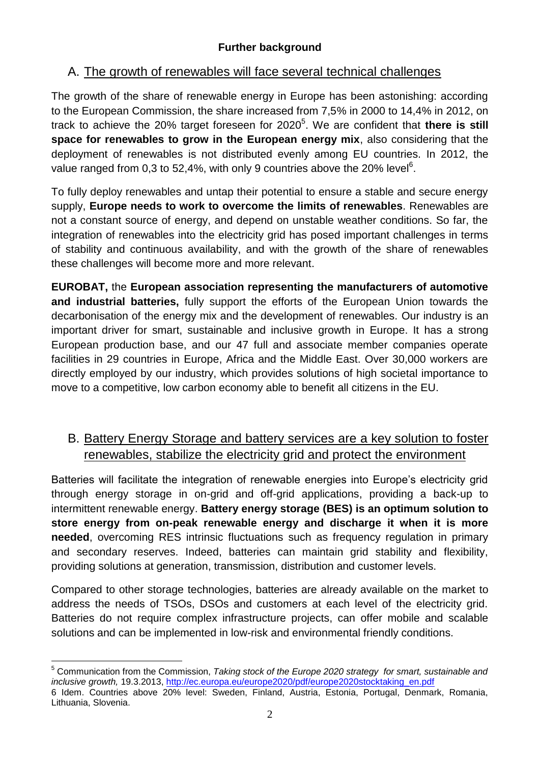# A. The growth of renewables will face several technical challenges

The growth of the share of renewable energy in Europe has been astonishing: according to the European Commission, the share increased from 7,5% in 2000 to 14,4% in 2012, on track to achieve the 20% target foreseen for 2020<sup>5</sup>. We are confident that there is still **space for renewables to grow in the European energy mix**, also considering that the deployment of renewables is not distributed evenly among EU countries. In 2012, the value ranged from 0,3 to 52,4%, with only 9 countries above the 20% level<sup>6</sup>.

To fully deploy renewables and untap their potential to ensure a stable and secure energy supply, **Europe needs to work to overcome the limits of renewables**. Renewables are not a constant source of energy, and depend on unstable weather conditions. So far, the integration of renewables into the electricity grid has posed important challenges in terms of stability and continuous availability, and with the growth of the share of renewables these challenges will become more and more relevant.

**EUROBAT,** the **European association representing the manufacturers of automotive and industrial batteries,** fully support the efforts of the European Union towards the decarbonisation of the energy mix and the development of renewables. Our industry is an important driver for smart, sustainable and inclusive growth in Europe. It has a strong European production base, and our 47 full and associate member companies operate facilities in 29 countries in Europe, Africa and the Middle East. Over 30,000 workers are directly employed by our industry, which provides solutions of high societal importance to move to a competitive, low carbon economy able to benefit all citizens in the EU.

# B. Battery Energy Storage and battery services are a key solution to foster renewables, stabilize the electricity grid and protect the environment

Batteries will facilitate the integration of renewable energies into Europe's electricity grid through energy storage in on-grid and off-grid applications, providing a back-up to intermittent renewable energy. **Battery energy storage (BES) is an optimum solution to store energy from on-peak renewable energy and discharge it when it is more needed**, overcoming RES intrinsic fluctuations such as frequency regulation in primary and secondary reserves. Indeed, batteries can maintain grid stability and flexibility, providing solutions at generation, transmission, distribution and customer levels.

Compared to other storage technologies, batteries are already available on the market to address the needs of TSOs, DSOs and customers at each level of the electricity grid. Batteries do not require complex infrastructure projects, can offer mobile and scalable solutions and can be implemented in low-risk and environmental friendly conditions.

1

<sup>5</sup> Communication from the Commission, *Taking stock of the Europe 2020 strategy for smart, sustainable and inclusive growth,* 19.3.2013, [http://ec.europa.eu/europe2020/pdf/europe2020stocktaking\\_en.pdf](http://ec.europa.eu/europe2020/pdf/europe2020stocktaking_en.pdf) 6 Idem. Countries above 20% level: Sweden, Finland, Austria, Estonia, Portugal, Denmark, Romania, Lithuania, Slovenia.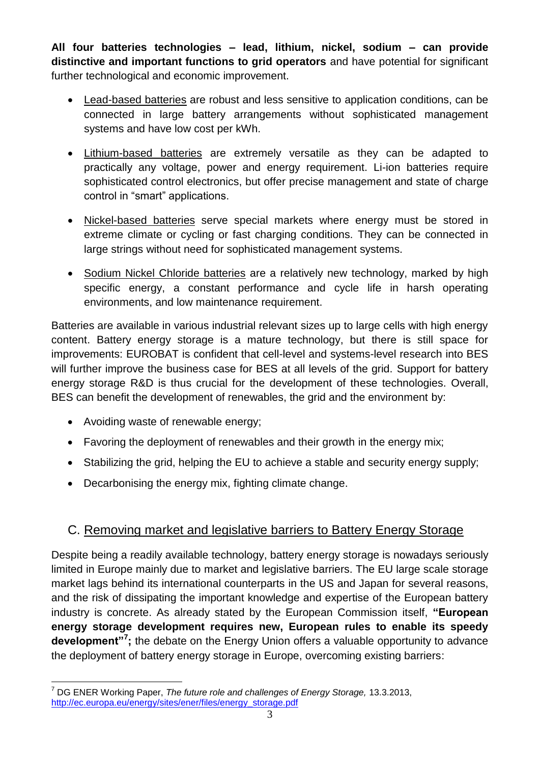**All four batteries technologies – lead, lithium, nickel, sodium – can provide distinctive and important functions to grid operators** and have potential for significant further technological and economic improvement.

- Lead-based batteries are robust and less sensitive to application conditions, can be connected in large battery arrangements without sophisticated management systems and have low cost per kWh.
- Lithium-based batteries are extremely versatile as they can be adapted to practically any voltage, power and energy requirement. Li-ion batteries require sophisticated control electronics, but offer precise management and state of charge control in "smart" applications.
- Nickel-based batteries serve special markets where energy must be stored in extreme climate or cycling or fast charging conditions. They can be connected in large strings without need for sophisticated management systems.
- Sodium Nickel Chloride batteries are a relatively new technology, marked by high specific energy, a constant performance and cycle life in harsh operating environments, and low maintenance requirement.

Batteries are available in various industrial relevant sizes up to large cells with high energy content. Battery energy storage is a mature technology, but there is still space for improvements: EUROBAT is confident that cell-level and systems-level research into BES will further improve the business case for BES at all levels of the grid. Support for battery energy storage R&D is thus crucial for the development of these technologies. Overall, BES can benefit the development of renewables, the grid and the environment by:

Avoiding waste of renewable energy;

<u>.</u>

- Favoring the deployment of renewables and their growth in the energy mix;
- Stabilizing the grid, helping the EU to achieve a stable and security energy supply;
- Decarbonising the energy mix, fighting climate change.

## C. Removing market and legislative barriers to Battery Energy Storage

Despite being a readily available technology, battery energy storage is nowadays seriously limited in Europe mainly due to market and legislative barriers. The EU large scale storage market lags behind its international counterparts in the US and Japan for several reasons, and the risk of dissipating the important knowledge and expertise of the European battery industry is concrete. As already stated by the European Commission itself, **"European energy storage development requires new, European rules to enable its speedy development"<sup>7</sup> ;** the debate on the Energy Union offers a valuable opportunity to advance the deployment of battery energy storage in Europe, overcoming existing barriers:

<sup>7</sup> DG ENER Working Paper, *The future role and challenges of Energy Storage,* 13.3.2013, [http://ec.europa.eu/energy/sites/ener/files/energy\\_storage.pdf](http://ec.europa.eu/energy/sites/ener/files/energy_storage.pdf)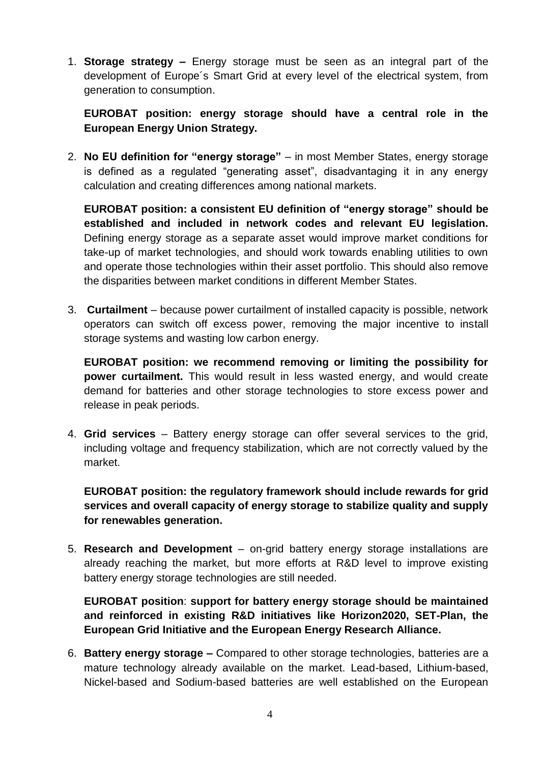1. **Storage strategy –** Energy storage must be seen as an integral part of the development of Europe´s Smart Grid at every level of the electrical system, from generation to consumption.

**EUROBAT position: energy storage should have a central role in the European Energy Union Strategy.**

2. **No EU definition for "energy storage"** – in most Member States, energy storage is defined as a regulated "generating asset", disadvantaging it in any energy calculation and creating differences among national markets.

**EUROBAT position: a consistent EU definition of "energy storage" should be established and included in network codes and relevant EU legislation.**  Defining energy storage as a separate asset would improve market conditions for take-up of market technologies, and should work towards enabling utilities to own and operate those technologies within their asset portfolio. This should also remove the disparities between market conditions in different Member States.

3. **Curtailment** – because power curtailment of installed capacity is possible, network operators can switch off excess power, removing the major incentive to install storage systems and wasting low carbon energy.

**EUROBAT position: we recommend removing or limiting the possibility for power curtailment.** This would result in less wasted energy, and would create demand for batteries and other storage technologies to store excess power and release in peak periods.

4. **Grid services** – Battery energy storage can offer several services to the grid, including voltage and frequency stabilization, which are not correctly valued by the market.

**EUROBAT position: the regulatory framework should include rewards for grid services and overall capacity of energy storage to stabilize quality and supply for renewables generation.** 

5. **Research and Development** – on-grid battery energy storage installations are already reaching the market, but more efforts at R&D level to improve existing battery energy storage technologies are still needed.

**EUROBAT position**: **support for battery energy storage should be maintained and reinforced in existing R&D initiatives like Horizon2020, SET-Plan, the European Grid Initiative and the European Energy Research Alliance.**

6. **Battery energy storage –** Compared to other storage technologies, batteries are a mature technology already available on the market. Lead-based, Lithium-based, Nickel-based and Sodium-based batteries are well established on the European